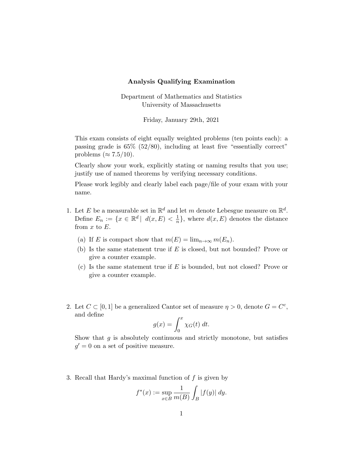## Analysis Qualifying Examination

Department of Mathematics and Statistics University of Massachusetts

Friday, January 29th, 2021

This exam consists of eight equally weighted problems (ten points each): a passing grade is 65% (52/80), including at least five "essentially correct" problems ( $\approx 7.5/10$ ).

Clearly show your work, explicitly stating or naming results that you use; justify use of named theorems by verifying necessary conditions.

Please work legibly and clearly label each page/file of your exam with your name.

- 1. Let E be a measurable set in  $\mathbb{R}^d$  and let m denote Lebesgue measure on  $\mathbb{R}^d$ . Define  $E_n := \{x \in \mathbb{R}^d \mid d(x, E) < \frac{1}{n}\}$  $\frac{1}{n}$ , where  $d(x, E)$  denotes the distance from  $x$  to  $E$ .
	- (a) If E is compact show that  $m(E) = \lim_{n \to \infty} m(E_n)$ .
	- (b) Is the same statement true if  $E$  is closed, but not bounded? Prove or give a counter example.
	- (c) Is the same statement true if  $E$  is bounded, but not closed? Prove or give a counter example.
- 2. Let  $C \subset [0,1]$  be a generalized Cantor set of measure  $\eta > 0$ , denote  $G = C^c$ , and define

$$
g(x) = \int_0^x \chi_G(t) \, dt.
$$

Show that  $g$  is absolutely continuous and strictly monotone, but satisfies  $g' = 0$  on a set of positive measure.

3. Recall that Hardy's maximal function of  $f$  is given by

$$
f^*(x) := \sup_{x \in B} \frac{1}{m(B)} \int_B |f(y)| dy.
$$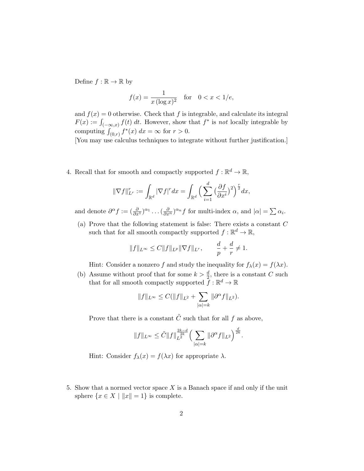Define  $f : \mathbb{R} \to \mathbb{R}$  by

$$
f(x) = \frac{1}{x(\log x)^2} \quad \text{for} \quad 0 < x < 1/e,
$$

and  $f(x) = 0$  otherwise. Check that f is integrable, and calculate its integral  $F(x) := \int_{(-\infty, x)} f(t) dt$ . However, show that  $f^*$  is not locally integrable by computing  $\int_{(0,r)} f^*(x) dx = \infty$  for  $r > 0$ .

[You may use calculus techniques to integrate without further justification.]

4. Recall that for smooth and compactly supported  $f: \mathbb{R}^d \to \mathbb{R}$ ,

$$
\|\nabla f\|_{L^r}^r := \int_{\mathbb{R}^d} |\nabla f|^r dx = \int_{\mathbb{R}^d} \Big(\sum_{i=1}^d \big(\frac{\partial f}{\partial x^i}\big)^2\Big)^{\frac{r}{2}} dx,
$$

and denote  $\partial^{\alpha} f := \left(\frac{\partial}{\partial x^{1}}\right)^{\alpha_{1}} \dots \left(\frac{\partial}{\partial x^{n}}\right)^{\alpha_{n}} f$  for multi-index  $\alpha$ , and  $|\alpha| = \sum \alpha_{i}$ .

(a) Prove that the following statement is false: There exists a constant C such that for all smooth compactly supported  $f: \mathbb{R}^d \to \mathbb{R}$ ,

$$
||f||_{L^{\infty}} \leq C||f||_{L^{p}}||\nabla f||_{L^{r}}, \qquad \frac{d}{p} + \frac{d}{r} \neq 1.
$$

Hint: Consider a nonzero f and study the inequality for  $f_{\lambda}(x) = f(\lambda x)$ .

(b) Assume without proof that for some  $k > \frac{d}{2}$ , there is a constant C such that for all smooth compactly supported  $\tilde{f} : \mathbb{R}^d \to \mathbb{R}$ 

$$
||f||_{L^{\infty}} \leq C(||f||_{L^{2}} + \sum_{|\alpha|=k} ||\partial^{\alpha} f||_{L^{2}}).
$$

Prove that there is a constant  $\tilde{C}$  such that for all f as above,

$$
||f||_{L^{\infty}} \leq \tilde{C}||f||_{L^{2}}^{\frac{2k-d}{2k}} \Big(\sum_{|\alpha|=k} ||\partial^{\alpha} f||_{L^{2}}\Big)^{\frac{d}{2k}}.
$$

Hint: Consider  $f_{\lambda}(x) = f(\lambda x)$  for appropriate  $\lambda$ .

5. Show that a normed vector space  $X$  is a Banach space if and only if the unit sphere  $\{x \in X \mid ||x|| = 1\}$  is complete.